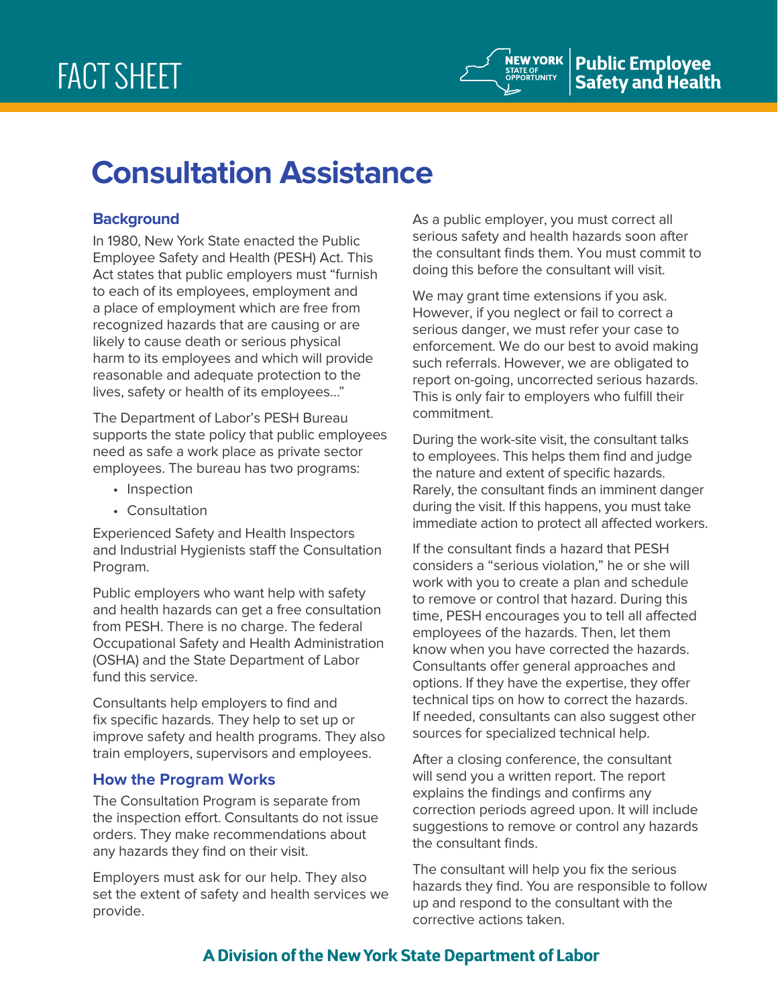# **Consultation Assistance**

# **Background**

In 1980, New York State enacted the Public Employee Safety and Health (PESH) Act. This Act states that public employers must "furnish to each of its employees, employment and a place of employment which are free from recognized hazards that are causing or are likely to cause death or serious physical harm to its employees and which will provide reasonable and adequate protection to the lives, safety or health of its employees…"

The Department of Labor's PESH Bureau supports the state policy that public employees need as safe a work place as private sector employees. The bureau has two programs:

- Inspection
- Consultation

Experienced Safety and Health Inspectors and Industrial Hygienists staff the Consultation Program.

Public employers who want help with safety and health hazards can get a free consultation from PESH. There is no charge. The federal Occupational Safety and Health Administration (OSHA) and the State Department of Labor fund this service.

Consultants help employers to find and fix specific hazards. They help to set up or improve safety and health programs. They also train employers, supervisors and employees.

# **How the Program Works**

The Consultation Program is separate from the inspection effort. Consultants do not issue orders. They make recommendations about any hazards they find on their visit.

Employers must ask for our help. They also set the extent of safety and health services we provide.

As a public employer, you must correct all serious safety and health hazards soon after the consultant finds them. You must commit to doing this before the consultant will visit.

We may grant time extensions if you ask. However, if you neglect or fail to correct a serious danger, we must refer your case to enforcement. We do our best to avoid making such referrals. However, we are obligated to report on-going, uncorrected serious hazards. This is only fair to employers who fulfill their commitment.

During the work-site visit, the consultant talks to employees. This helps them find and judge the nature and extent of specific hazards. Rarely, the consultant finds an imminent danger during the visit. If this happens, you must take immediate action to protect all affected workers.

If the consultant finds a hazard that PESH considers a "serious violation," he or she will work with you to create a plan and schedule to remove or control that hazard. During this time, PESH encourages you to tell all affected employees of the hazards. Then, let them know when you have corrected the hazards. Consultants offer general approaches and options. If they have the expertise, they offer technical tips on how to correct the hazards. If needed, consultants can also suggest other sources for specialized technical help.

After a closing conference, the consultant will send you a written report. The report explains the findings and confirms any correction periods agreed upon. It will include suggestions to remove or control any hazards the consultant finds.

The consultant will help you fix the serious hazards they find. You are responsible to follow up and respond to the consultant with the corrective actions taken.

# A Division of the New York State Department of Labor